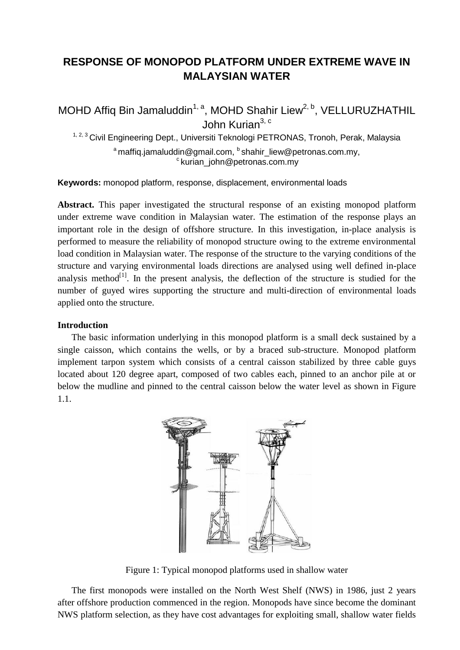# **RESPONSE OF MONOPOD PLATFORM UNDER EXTREME WAVE IN MALAYSIAN WATER**

MOHD Affiq Bin Jamaluddin<sup>1, a</sup>, MOHD Shahir Liew<sup>2, b</sup>, VELLURUZHATHIL John Kurian<sup>3, c</sup>

<sup>1, 2, 3</sup> Civil Engineering Dept., Universiti Teknologi PETRONAS, Tronoh, Perak, Malaysia

 $^{\rm a}$ maffiq.jamaluddin@gmail.com,  $^{\rm b}$ shahir\_liew@petronas.com.my,  $\textdegree$ kurian\_john@petronas.com.my

**Keywords:** monopod platform, response, displacement, environmental loads

**Abstract.** This paper investigated the structural response of an existing monopod platform under extreme wave condition in Malaysian water. The estimation of the response plays an important role in the design of offshore structure. In this investigation, in-place analysis is performed to measure the reliability of monopod structure owing to the extreme environmental load condition in Malaysian water. The response of the structure to the varying conditions of the structure and varying environmental loads directions are analysed using well defined in-place analysis method $\mathfrak{gl}^{[1]}$ . In the present analysis, the deflection of the structure is studied for the number of guyed wires supporting the structure and multi-direction of environmental loads applied onto the structure.

## **Introduction**

The basic information underlying in this monopod platform is a small deck sustained by a single caisson, which contains the wells, or by a braced sub-structure. Monopod platform implement tarpon system which consists of a central caisson stabilized by three cable guys located about 120 degree apart, composed of two cables each, pinned to an anchor pile at or below the mudline and pinned to the central caisson below the water level as shown in Figure 1.1.



Figure 1: Typical monopod platforms used in shallow water

The first monopods were installed on the North West Shelf (NWS) in 1986, just 2 years after offshore production commenced in the region. Monopods have since become the dominant NWS platform selection, as they have cost advantages for exploiting small, shallow water fields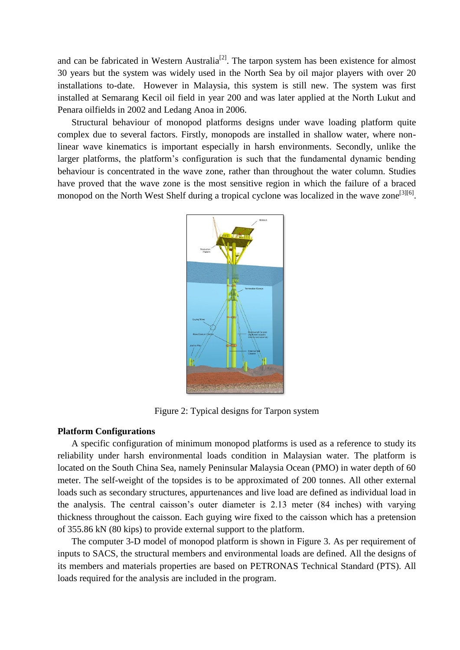and can be fabricated in Western Australia<sup>[2]</sup>. The tarpon system has been existence for almost 30 years but the system was widely used in the North Sea by oil major players with over 20 installations to-date. However in Malaysia, this system is still new. The system was first installed at Semarang Kecil oil field in year 200 and was later applied at the North Lukut and Penara oilfields in 2002 and Ledang Anoa in 2006.

Structural behaviour of monopod platforms designs under wave loading platform quite complex due to several factors. Firstly, monopods are installed in shallow water, where nonlinear wave kinematics is important especially in harsh environments. Secondly, unlike the larger platforms, the platform's configuration is such that the fundamental dynamic bending behaviour is concentrated in the wave zone, rather than throughout the water column. Studies have proved that the wave zone is the most sensitive region in which the failure of a braced monopod on the North West Shelf during a tropical cyclone was localized in the wave zone<sup>[3][6]</sup>.



Figure 2: Typical designs for Tarpon system

## **Platform Configurations**

A specific configuration of minimum monopod platforms is used as a reference to study its reliability under harsh environmental loads condition in Malaysian water. The platform is located on the South China Sea, namely Peninsular Malaysia Ocean (PMO) in water depth of 60 meter. The self-weight of the topsides is to be approximated of 200 tonnes. All other external loads such as secondary structures, appurtenances and live load are defined as individual load in the analysis. The central caisson's outer diameter is 2.13 meter (84 inches) with varying thickness throughout the caisson. Each guying wire fixed to the caisson which has a pretension of 355.86 kN (80 kips) to provide external support to the platform.

The computer 3-D model of monopod platform is shown in Figure 3. As per requirement of inputs to SACS, the structural members and environmental loads are defined. All the designs of its members and materials properties are based on PETRONAS Technical Standard (PTS). All loads required for the analysis are included in the program.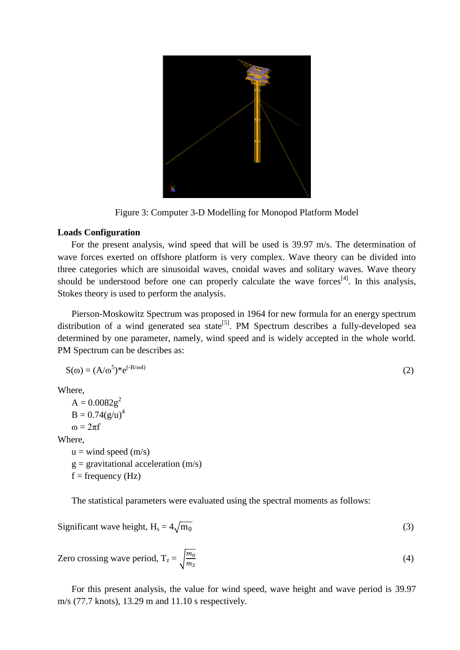

Figure 3: Computer 3-D Modelling for Monopod Platform Model

## **Loads Configuration**

For the present analysis, wind speed that will be used is 39.97 m/s. The determination of wave forces exerted on offshore platform is very complex. Wave theory can be divided into three categories which are sinusoidal waves, cnoidal waves and solitary waves. Wave theory should be understood before one can properly calculate the wave forces<sup>[4]</sup>. In this analysis, Stokes theory is used to perform the analysis.

Pierson-Moskowitz Spectrum was proposed in 1964 for new formula for an energy spectrum distribution of a wind generated sea state<sup>[5]</sup>. PM Spectrum describes a fully-developed sea determined by one parameter, namely, wind speed and is widely accepted in the whole world. PM Spectrum can be describes as:

$$
S(\omega) = (A/\omega^5)^* e^{(-B/\omega^4)}
$$
 (2)

Where,

 $A = 0.0082g^2$  $B = 0.74(g/u)^4$  $\omega = 2\pi f$ Where,  $u =$  wind speed  $(m/s)$  $g =$  gravitational acceleration (m/s)

 $f = frequency(Hz)$ 

The statistical parameters were evaluated using the spectral moments as follows:

Significant wave height,  $H_s = 4\sqrt{m_0}$ (3)

Zero crossing wave period,  $T_z = \sqrt{\frac{m}{m}}$  $\boldsymbol{m}$ (4)

For this present analysis, the value for wind speed, wave height and wave period is 39.97 m/s (77.7 knots), 13.29 m and 11.10 s respectively.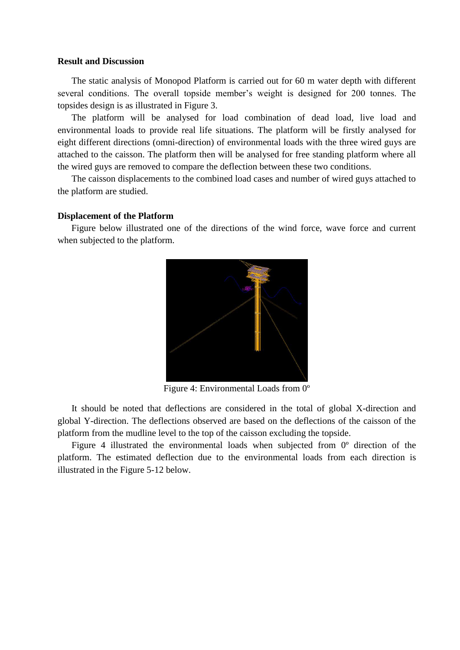### **Result and Discussion**

The static analysis of Monopod Platform is carried out for 60 m water depth with different several conditions. The overall topside member's weight is designed for 200 tonnes. The topsides design is as illustrated in Figure 3.

The platform will be analysed for load combination of dead load, live load and environmental loads to provide real life situations. The platform will be firstly analysed for eight different directions (omni-direction) of environmental loads with the three wired guys are attached to the caisson. The platform then will be analysed for free standing platform where all the wired guys are removed to compare the deflection between these two conditions.

The caisson displacements to the combined load cases and number of wired guys attached to the platform are studied.

#### **Displacement of the Platform**

Figure below illustrated one of the directions of the wind force, wave force and current when subjected to the platform.



Figure 4: Environmental Loads from 0º

It should be noted that deflections are considered in the total of global X-direction and global Y-direction. The deflections observed are based on the deflections of the caisson of the platform from the mudline level to the top of the caisson excluding the topside.

Figure 4 illustrated the environmental loads when subjected from 0º direction of the platform. The estimated deflection due to the environmental loads from each direction is illustrated in the Figure 5-12 below.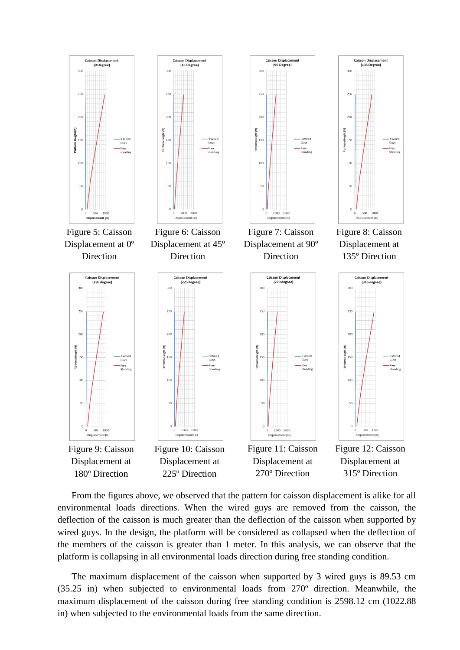

From the figures above, we observed that the pattern for caisson displacement is alike for all environmental loads directions. When the wired guys are removed from the caisson, the deflection of the caisson is much greater than the deflection of the caisson when supported by wired guys. In the design, the platform will be considered as collapsed when the deflection of the members of the caisson is greater than 1 meter. In this analysis, we can observe that the platform is collapsing in all environmental loads direction during free standing condition.

The maximum displacement of the caisson when supported by 3 wired guys is 89.53 cm (35.25 in) when subjected to environmental loads from 270º direction. Meanwhile, the maximum displacement of the caisson during free standing condition is 2598.12 cm (1022.88 in) when subjected to the environmental loads from the same direction.